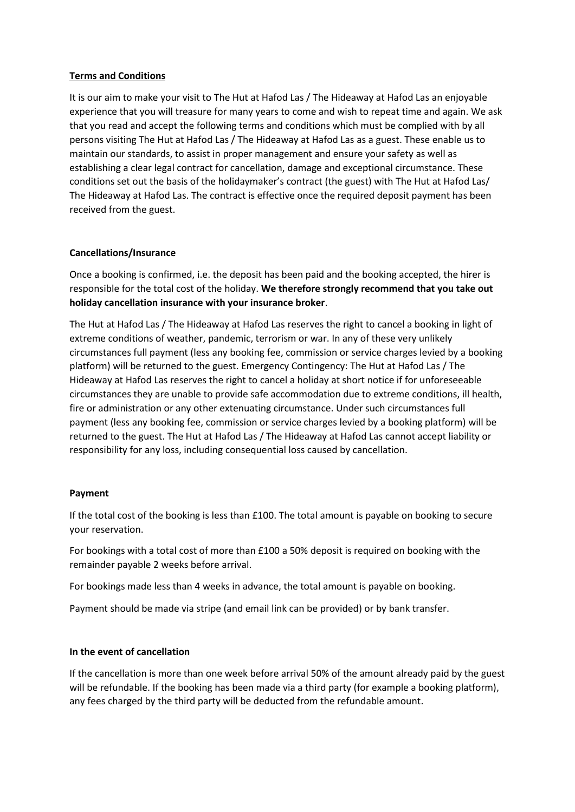## **Terms and Conditions**

It is our aim to make your visit to The Hut at Hafod Las / The Hideaway at Hafod Las an enjoyable experience that you will treasure for many years to come and wish to repeat time and again. We ask that you read and accept the following terms and conditions which must be complied with by all persons visiting The Hut at Hafod Las / The Hideaway at Hafod Las as a guest. These enable us to maintain our standards, to assist in proper management and ensure your safety as well as establishing a clear legal contract for cancellation, damage and exceptional circumstance. These conditions set out the basis of the holidaymaker's contract (the guest) with The Hut at Hafod Las/ The Hideaway at Hafod Las. The contract is effective once the required deposit payment has been received from the guest.

### **Cancellations/Insurance**

Once a booking is confirmed, i.e. the deposit has been paid and the booking accepted, the hirer is responsible for the total cost of the holiday. **We therefore strongly recommend that you take out holiday cancellation insurance with your insurance broker**.

The Hut at Hafod Las / The Hideaway at Hafod Las reserves the right to cancel a booking in light of extreme conditions of weather, pandemic, terrorism or war. In any of these very unlikely circumstances full payment (less any booking fee, commission or service charges levied by a booking platform) will be returned to the guest. Emergency Contingency: The Hut at Hafod Las / The Hideaway at Hafod Las reserves the right to cancel a holiday at short notice if for unforeseeable circumstances they are unable to provide safe accommodation due to extreme conditions, ill health, fire or administration or any other extenuating circumstance. Under such circumstances full payment (less any booking fee, commission or service charges levied by a booking platform) will be returned to the guest. The Hut at Hafod Las / The Hideaway at Hafod Las cannot accept liability or responsibility for any loss, including consequential loss caused by cancellation.

## **Payment**

If the total cost of the booking is less than £100. The total amount is payable on booking to secure your reservation.

For bookings with a total cost of more than £100 a 50% deposit is required on booking with the remainder payable 2 weeks before arrival.

For bookings made less than 4 weeks in advance, the total amount is payable on booking.

Payment should be made via stripe (and email link can be provided) or by bank transfer.

#### **In the event of cancellation**

If the cancellation is more than one week before arrival 50% of the amount already paid by the guest will be refundable. If the booking has been made via a third party (for example a booking platform), any fees charged by the third party will be deducted from the refundable amount.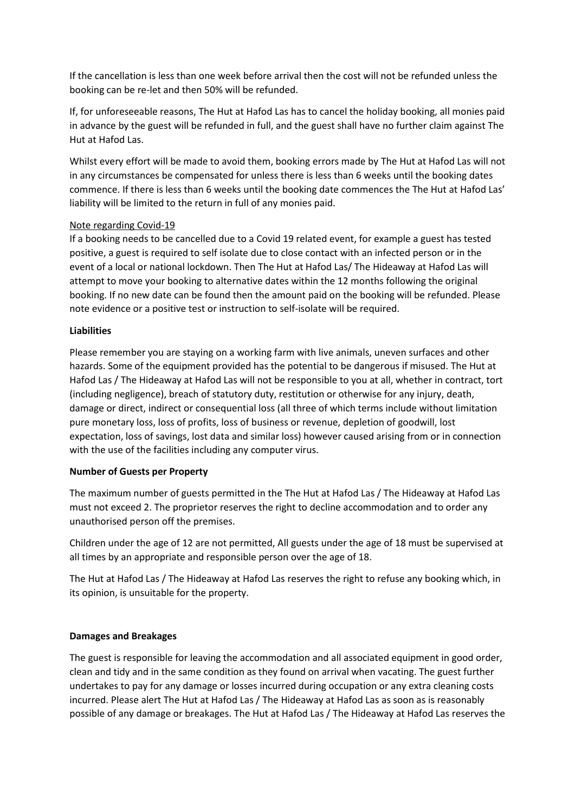If the cancellation is less than one week before arrival then the cost will not be refunded unless the booking can be re-let and then 50% will be refunded.

If, for unforeseeable reasons, The Hut at Hafod Las has to cancel the holiday booking, all monies paid in advance by the guest will be refunded in full, and the guest shall have no further claim against The Hut at Hafod Las.

Whilst every effort will be made to avoid them, booking errors made by The Hut at Hafod Las will not in any circumstances be compensated for unless there is less than 6 weeks until the booking dates commence. If there is less than 6 weeks until the booking date commences the The Hut at Hafod Las' liability will be limited to the return in full of any monies paid.

# Note regarding Covid-19

If a booking needs to be cancelled due to a Covid 19 related event, for example a guest has tested positive, a guest is required to self isolate due to close contact with an infected person or in the event of a local or national lockdown. Then The Hut at Hafod Las/ The Hideaway at Hafod Las will attempt to move your booking to alternative dates within the 12 months following the original booking. If no new date can be found then the amount paid on the booking will be refunded. Please note evidence or a positive test or instruction to self-isolate will be required.

# **Liabilities**

Please remember you are staying on a working farm with live animals, uneven surfaces and other hazards. Some of the equipment provided has the potential to be dangerous if misused. The Hut at Hafod Las / The Hideaway at Hafod Las will not be responsible to you at all, whether in contract, tort (including negligence), breach of statutory duty, restitution or otherwise for any injury, death, damage or direct, indirect or consequential loss (all three of which terms include without limitation pure monetary loss, loss of profits, loss of business or revenue, depletion of goodwill, lost expectation, loss of savings, lost data and similar loss) however caused arising from or in connection with the use of the facilities including any computer virus.

## **Number of Guests per Property**

The maximum number of guests permitted in the The Hut at Hafod Las / The Hideaway at Hafod Las must not exceed 2. The proprietor reserves the right to decline accommodation and to order any unauthorised person off the premises.

Children under the age of 12 are not permitted, All guests under the age of 18 must be supervised at all times by an appropriate and responsible person over the age of 18.

The Hut at Hafod Las / The Hideaway at Hafod Las reserves the right to refuse any booking which, in its opinion, is unsuitable for the property.

## **Damages and Breakages**

The guest is responsible for leaving the accommodation and all associated equipment in good order, clean and tidy and in the same condition as they found on arrival when vacating. The guest further undertakes to pay for any damage or losses incurred during occupation or any extra cleaning costs incurred. Please alert The Hut at Hafod Las / The Hideaway at Hafod Las as soon as is reasonably possible of any damage or breakages. The Hut at Hafod Las / The Hideaway at Hafod Las reserves the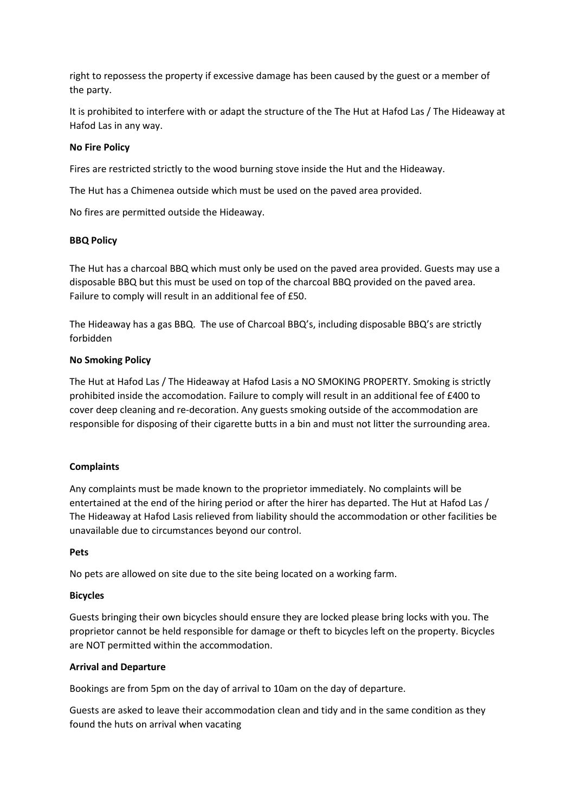right to repossess the property if excessive damage has been caused by the guest or a member of the party.

It is prohibited to interfere with or adapt the structure of the The Hut at Hafod Las / The Hideaway at Hafod Las in any way.

### **No Fire Policy**

Fires are restricted strictly to the wood burning stove inside the Hut and the Hideaway.

The Hut has a Chimenea outside which must be used on the paved area provided.

No fires are permitted outside the Hideaway.

### **BBQ Policy**

The Hut has a charcoal BBQ which must only be used on the paved area provided. Guests may use a disposable BBQ but this must be used on top of the charcoal BBQ provided on the paved area. Failure to comply will result in an additional fee of £50.

The Hideaway has a gas BBQ. The use of Charcoal BBQ's, including disposable BBQ's are strictly forbidden

### **No Smoking Policy**

The Hut at Hafod Las / The Hideaway at Hafod Lasis a NO SMOKING PROPERTY. Smoking is strictly prohibited inside the accomodation. Failure to comply will result in an additional fee of £400 to cover deep cleaning and re-decoration. Any guests smoking outside of the accommodation are responsible for disposing of their cigarette butts in a bin and must not litter the surrounding area.

## **Complaints**

Any complaints must be made known to the proprietor immediately. No complaints will be entertained at the end of the hiring period or after the hirer has departed. The Hut at Hafod Las / The Hideaway at Hafod Lasis relieved from liability should the accommodation or other facilities be unavailable due to circumstances beyond our control.

#### **Pets**

No pets are allowed on site due to the site being located on a working farm.

#### **Bicycles**

Guests bringing their own bicycles should ensure they are locked please bring locks with you. The proprietor cannot be held responsible for damage or theft to bicycles left on the property. Bicycles are NOT permitted within the accommodation.

## **Arrival and Departure**

Bookings are from 5pm on the day of arrival to 10am on the day of departure.

Guests are asked to leave their accommodation clean and tidy and in the same condition as they found the huts on arrival when vacating